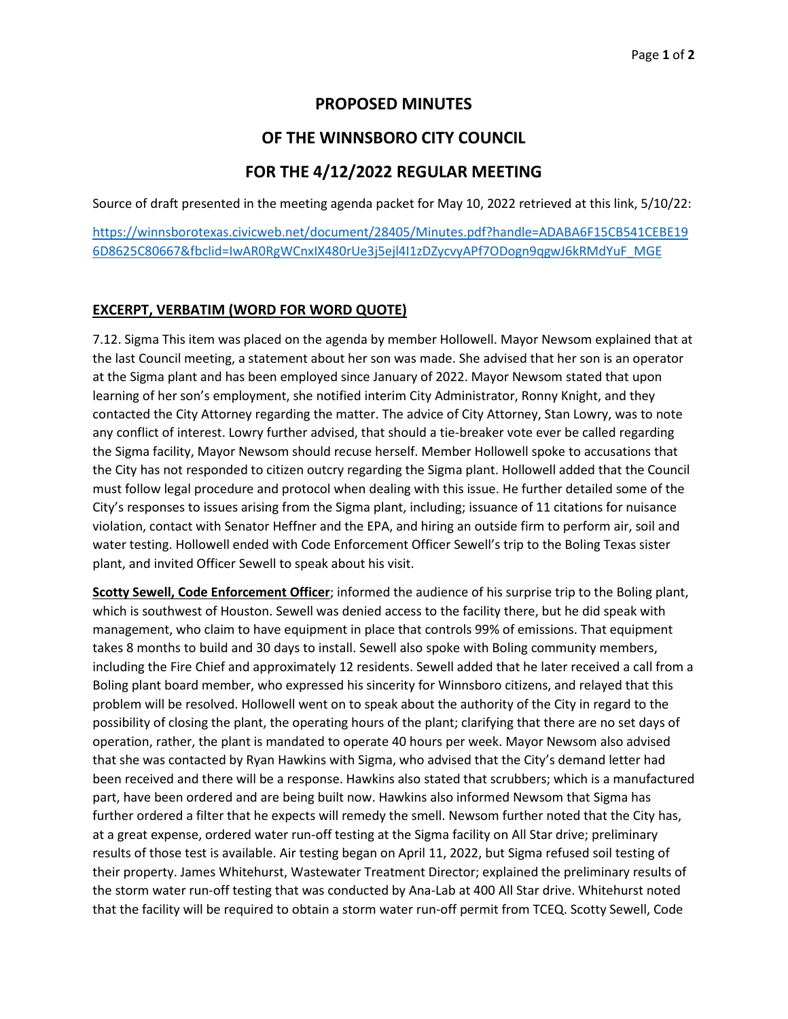### **PROPOSED MINUTES**

## **OF THE WINNSBORO CITY COUNCIL**

## **FOR THE 4/12/2022 REGULAR MEETING**

Source of draft presented in the meeting agenda packet for May 10, 2022 retrieved at this link, 5/10/22:

[https://winnsborotexas.civicweb.net/document/28405/Minutes.pdf?handle=ADABA6F15CB541CEBE19](https://winnsborotexas.civicweb.net/document/28405/Minutes.pdf?handle=ADABA6F15CB541CEBE196D8625C80667&fbclid=IwAR0RgWCnxIX480rUe3j5ejl4I1zDZycvyAPf7ODogn9qgwJ6kRMdYuF_MGE) [6D8625C80667&fbclid=IwAR0RgWCnxIX480rUe3j5ejl4I1zDZycvyAPf7ODogn9qgwJ6kRMdYuF\\_MGE](https://winnsborotexas.civicweb.net/document/28405/Minutes.pdf?handle=ADABA6F15CB541CEBE196D8625C80667&fbclid=IwAR0RgWCnxIX480rUe3j5ejl4I1zDZycvyAPf7ODogn9qgwJ6kRMdYuF_MGE)

#### **EXCERPT, VERBATIM (WORD FOR WORD QUOTE)**

7.12. Sigma This item was placed on the agenda by member Hollowell. Mayor Newsom explained that at the last Council meeting, a statement about her son was made. She advised that her son is an operator at the Sigma plant and has been employed since January of 2022. Mayor Newsom stated that upon learning of her son's employment, she notified interim City Administrator, Ronny Knight, and they contacted the City Attorney regarding the matter. The advice of City Attorney, Stan Lowry, was to note any conflict of interest. Lowry further advised, that should a tie-breaker vote ever be called regarding the Sigma facility, Mayor Newsom should recuse herself. Member Hollowell spoke to accusations that the City has not responded to citizen outcry regarding the Sigma plant. Hollowell added that the Council must follow legal procedure and protocol when dealing with this issue. He further detailed some of the City's responses to issues arising from the Sigma plant, including; issuance of 11 citations for nuisance violation, contact with Senator Heffner and the EPA, and hiring an outside firm to perform air, soil and water testing. Hollowell ended with Code Enforcement Officer Sewell's trip to the Boling Texas sister plant, and invited Officer Sewell to speak about his visit.

**Scotty Sewell, Code Enforcement Officer**; informed the audience of his surprise trip to the Boling plant, which is southwest of Houston. Sewell was denied access to the facility there, but he did speak with management, who claim to have equipment in place that controls 99% of emissions. That equipment takes 8 months to build and 30 days to install. Sewell also spoke with Boling community members, including the Fire Chief and approximately 12 residents. Sewell added that he later received a call from a Boling plant board member, who expressed his sincerity for Winnsboro citizens, and relayed that this problem will be resolved. Hollowell went on to speak about the authority of the City in regard to the possibility of closing the plant, the operating hours of the plant; clarifying that there are no set days of operation, rather, the plant is mandated to operate 40 hours per week. Mayor Newsom also advised that she was contacted by Ryan Hawkins with Sigma, who advised that the City's demand letter had been received and there will be a response. Hawkins also stated that scrubbers; which is a manufactured part, have been ordered and are being built now. Hawkins also informed Newsom that Sigma has further ordered a filter that he expects will remedy the smell. Newsom further noted that the City has, at a great expense, ordered water run-off testing at the Sigma facility on All Star drive; preliminary results of those test is available. Air testing began on April 11, 2022, but Sigma refused soil testing of their property. James Whitehurst, Wastewater Treatment Director; explained the preliminary results of the storm water run-off testing that was conducted by Ana-Lab at 400 All Star drive. Whitehurst noted that the facility will be required to obtain a storm water run-off permit from TCEQ. Scotty Sewell, Code